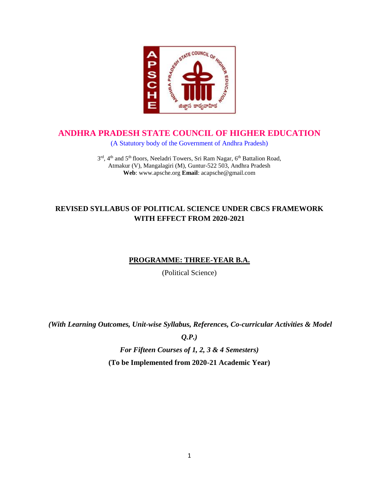

## **ANDHRA PRADESH STATE COUNCIL OF HIGHER EDUCATION**

(A Statutory body of the Government of Andhra Pradesh)

3<sup>rd</sup>, 4<sup>th</sup> and 5<sup>th</sup> floors, Neeladri Towers, Sri Ram Nagar, 6<sup>th</sup> Battalion Road, Atmakur (V), Mangalagiri (M), Guntur-522 503, Andhra Pradesh **Web**: www.apsche.org **Email**: acapsche@gmail.com

## **REVISED SYLLABUS OF POLITICAL SCIENCE UNDER CBCS FRAMEWORK WITH EFFECT FROM 2020-2021**

## **PROGRAMME: THREE-YEAR B.A.**

(Political Science)

*(With Learning Outcomes, Unit-wise Syllabus, References, Co-curricular Activities & Model* 

*Q.P.)*

*For Fifteen Courses of 1, 2, 3 & 4 Semesters)*

**(To be Implemented from 2020-21 Academic Year)**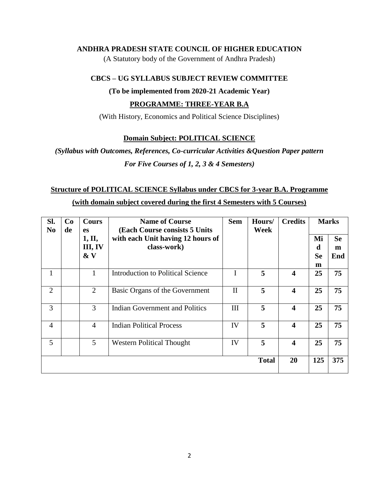## **ANDHRA PRADESH STATE COUNCIL OF HIGHER EDUCATION**

(A Statutory body of the Government of Andhra Pradesh)

## **CBCS – UG SYLLABUS SUBJECT REVIEW COMMITTEE**

#### **(To be implemented from 2020-21 Academic Year)**

## **PROGRAMME: THREE-YEAR B.A**

(With History, Economics and Political Science Disciplines)

## **Domain Subject: POLITICAL SCIENCE**

*(Syllabus with Outcomes, References, Co-curricular Activities &Question Paper pattern For Five Courses of 1, 2, 3 & 4 Semesters)*

## **Structure of POLITICAL SCIENCE Syllabus under CBCS for 3-year B.A. Programme (with domain subject covered during the first 4 Semesters with 5 Courses)**

| SI.<br>N <sub>0</sub> | Co<br>de | <b>Cours</b><br><b>es</b>   | <b>Name of Course</b><br><b>(Each Course consists 5 Units)</b> | <b>Sem</b>   | Hours/<br>Week  | <b>Credits</b> | <b>Marks</b>              |                       |
|-----------------------|----------|-----------------------------|----------------------------------------------------------------|--------------|-----------------|----------------|---------------------------|-----------------------|
|                       |          | 1, II,<br>III, IV<br>$\& V$ | with each Unit having 12 hours of<br>class-work)               |              |                 |                | Mi<br>d<br><b>Se</b><br>m | <b>Se</b><br>m<br>End |
|                       |          | 1                           | <b>Introduction to Political Science</b>                       |              | 5               | 4              | 25                        | 75                    |
| $\overline{2}$        |          | 2                           | Basic Organs of the Government                                 | $\mathbf{I}$ | 5               | 4              | 25                        | 75                    |
| 3                     |          | 3                           | Indian Government and Politics                                 | III          | 5               | 4              | 25                        | 75                    |
| $\overline{4}$        |          | $\overline{4}$              | <b>Indian Political Process</b>                                | IV           | 5               | 4              | 25                        | 75                    |
| 5                     |          | 5                           | <b>Western Political Thought</b>                               | IV           | $5\overline{)}$ | 4              | 25                        | 75                    |
|                       |          |                             |                                                                |              | <b>Total</b>    | 20             | 125                       | 375                   |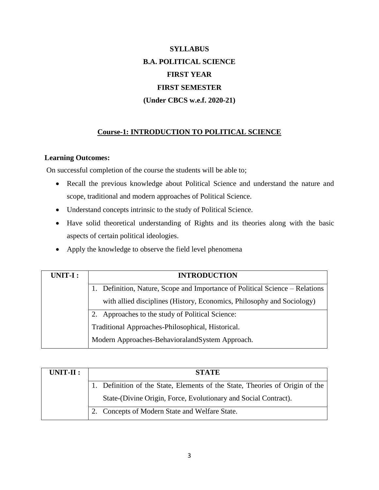# **SYLLABUS B.A. POLITICAL SCIENCE FIRST YEAR FIRST SEMESTER (Under CBCS w.e.f. 2020-21)**

## **Course-1: INTRODUCTION TO POLITICAL SCIENCE**

#### **Learning Outcomes:**

On successful completion of the course the students will be able to;

- Recall the previous knowledge about Political Science and understand the nature and scope, traditional and modern approaches of Political Science.
- Understand concepts intrinsic to the study of Political Science.
- Have solid theoretical understanding of Rights and its theories along with the basic aspects of certain political ideologies.
- Apply the knowledge to observe the field level phenomena

| UNIT-I: | <b>INTRODUCTION</b>                                                          |
|---------|------------------------------------------------------------------------------|
|         | 1. Definition, Nature, Scope and Importance of Political Science – Relations |
|         | with allied disciplines (History, Economics, Philosophy and Sociology)       |
|         | 2. Approaches to the study of Political Science:                             |
|         | Traditional Approaches-Philosophical, Historical.                            |
|         | Modern Approaches-BehavioralandSystem Approach.                              |

| $UNIT-II:$ | <b>STATE</b>                                                                 |
|------------|------------------------------------------------------------------------------|
|            | 1. Definition of the State, Elements of the State, Theories of Origin of the |
|            | State-(Divine Origin, Force, Evolutionary and Social Contract).              |
|            | Concepts of Modern State and Welfare State.                                  |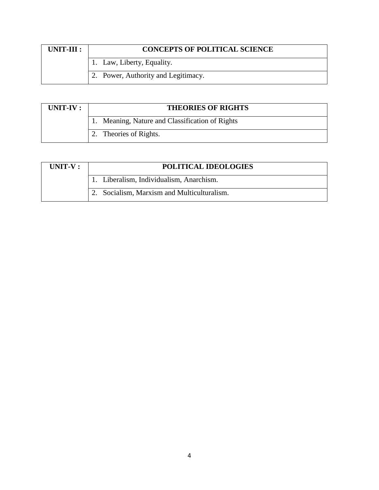| $UNIT-III:$ | <b>CONCEPTS OF POLITICAL SCIENCE</b> |
|-------------|--------------------------------------|
|             | 1. Law, Liberty, Equality.           |
|             | 2. Power, Authority and Legitimacy.  |

| UNIT-IV : | <b>THEORIES OF RIGHTS</b>                       |
|-----------|-------------------------------------------------|
|           | 1. Meaning, Nature and Classification of Rights |
|           | 2. Theories of Rights.                          |

| $UNIT-V:$ | <b>POLITICAL IDEOLOGIES</b>                 |
|-----------|---------------------------------------------|
|           | 1. Liberalism, Individualism, Anarchism.    |
|           | 2. Socialism, Marxism and Multiculturalism. |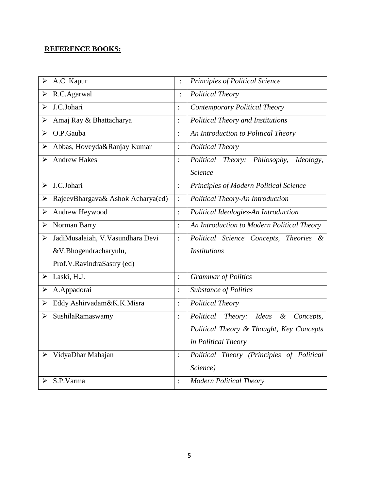| A.C. Kapur<br>$\blacktriangleright$                        |                | Principles of Political Science                                    |
|------------------------------------------------------------|----------------|--------------------------------------------------------------------|
| R.C.Agarwal<br>➤                                           | $\vdots$       | <b>Political Theory</b>                                            |
| J.C.Johari<br>↘                                            | $\ddot{\cdot}$ | Contemporary Political Theory                                      |
| Amaj Ray & Bhattacharya<br>➤                               | $\ddot{\cdot}$ | <b>Political Theory and Institutions</b>                           |
| O.P.Gauba<br>➤                                             | $\ddot{\cdot}$ | An Introduction to Political Theory                                |
| Abbas, Hoveyda&Ranjay Kumar<br>➤                           | $\ddot{\cdot}$ | <b>Political Theory</b>                                            |
| <b>Andrew Hakes</b><br>↘                                   | :              | Political Theory: Philosophy,<br>Ideology,                         |
|                                                            |                | Science                                                            |
| J.C.Johari<br>➤                                            | $\ddot{\cdot}$ | Principles of Modern Political Science                             |
| RajeevBhargava& Ashok Acharya(ed)<br>➤                     | $\ddot{\cdot}$ | Political Theory-An Introduction                                   |
| Andrew Heywood<br>$\blacktriangleright$                    | $\ddot{\cdot}$ | Political Ideologies-An Introduction                               |
| Norman Barry<br>➤                                          | $\ddot{\cdot}$ | An Introduction to Modern Political Theory                         |
| JadiMusalaiah, V. Vasundhara Devi<br>$\blacktriangleright$ | $\ddot{\cdot}$ | Political Science Concepts,<br>Theories &                          |
| &V.Bhogendracharyulu,                                      |                | <b>Institutions</b>                                                |
| Prof.V.RavindraSastry (ed)                                 |                |                                                                    |
| Laski, H.J.<br>➤                                           | $\ddot{\cdot}$ | <b>Grammar</b> of Politics                                         |
| A.Appadorai<br>➤                                           | $\ddot{\cdot}$ | <b>Substance of Politics</b>                                       |
| Eddy Ashirvadam&K.K.Misra<br>➤                             | $\ddot{\cdot}$ | <b>Political Theory</b>                                            |
| SushilaRamaswamy<br>≻                                      | :              | Political Theory: Ideas<br>$\boldsymbol{\mathcal{X}}$<br>Concepts, |
|                                                            |                | Political Theory & Thought, Key Concepts                           |
|                                                            |                | in Political Theory                                                |
| VidyaDhar Mahajan<br>➤                                     | $\ddot{\cdot}$ | Political Theory (Principles of Political                          |
|                                                            |                | Science)                                                           |
| S.P.Varma<br>➤                                             | $\ddot{\cdot}$ | <b>Modern Political Theory</b>                                     |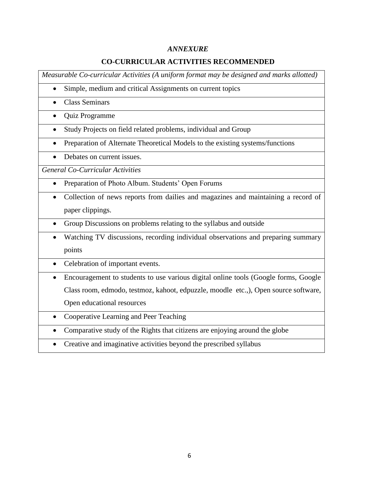## **CO-CURRICULAR ACTIVITIES RECOMMENDED**

*Measurable Co-curricular Activities (A uniform format may be designed and marks allotted)*

- Simple, medium and critical Assignments on current topics
- Class Seminars
- Quiz Programme
- Study Projects on field related problems, individual and Group
- Preparation of Alternate Theoretical Models to the existing systems/functions
- Debates on current issues.

*General Co-Curricular Activities*

- Preparation of Photo Album. Students' Open Forums
- Collection of news reports from dailies and magazines and maintaining a record of paper clippings.
- Group Discussions on problems relating to the syllabus and outside
- Watching TV discussions, recording individual observations and preparing summary points
- Celebration of important events.
- Encouragement to students to use various digital online tools (Google forms, Google Class room, edmodo, testmoz, kahoot, edpuzzle, moodle etc.,), Open source software, Open educational resources
- Cooperative Learning and Peer Teaching
- Comparative study of the Rights that citizens are enjoying around the globe
- Creative and imaginative activities beyond the prescribed syllabus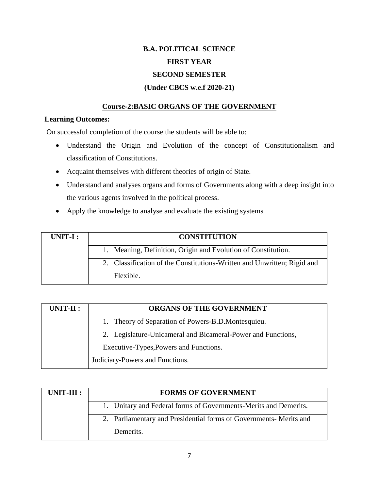# **B.A. POLITICAL SCIENCE FIRST YEAR SECOND SEMESTER**

## **(Under CBCS w.e.f 2020-21)**

## **Course-2:BASIC ORGANS OF THE GOVERNMENT**

#### **Learning Outcomes:**

On successful completion of the course the students will be able to:

- Understand the Origin and Evolution of the concept of Constitutionalism and classification of Constitutions.
- Acquaint themselves with different theories of origin of State.
- Understand and analyses organs and forms of Governments along with a deep insight into the various agents involved in the political process.
- Apply the knowledge to analyse and evaluate the existing systems

| UNIT-I : | <b>CONSTITUTION</b>                                                     |
|----------|-------------------------------------------------------------------------|
|          | 1. Meaning, Definition, Origin and Evolution of Constitution.           |
|          | 2. Classification of the Constitutions-Written and Unwritten; Rigid and |
|          | Flexible.                                                               |

| UNIT-II : | ORGANS OF THE GOVERNMENT                                     |
|-----------|--------------------------------------------------------------|
|           | 1. Theory of Separation of Powers-B.D.Montesquieu.           |
|           | 2. Legislature-Unicameral and Bicameral-Power and Functions, |
|           | Executive-Types, Powers and Functions.                       |
|           | Judiciary-Powers and Functions.                              |

| $UNIT-III:$ | <b>FORMS OF GOVERNMENT</b>                                         |  |  |
|-------------|--------------------------------------------------------------------|--|--|
|             | 1. Unitary and Federal forms of Governments-Merits and Demerits.   |  |  |
|             | 2. Parliamentary and Presidential forms of Governments- Merits and |  |  |
|             | Demerits.                                                          |  |  |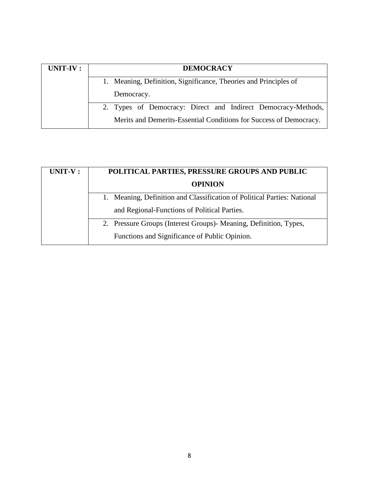| UNIT-IV : | <b>DEMOCRACY</b>                                                   |  |  |
|-----------|--------------------------------------------------------------------|--|--|
|           | Meaning, Definition, Significance, Theories and Principles of      |  |  |
|           | Democracy.                                                         |  |  |
|           | 2. Types of Democracy: Direct and Indirect Democracy-Methods,      |  |  |
|           | Merits and Demerits-Essential Conditions for Success of Democracy. |  |  |

| UNIT-V: | POLITICAL PARTIES, PRESSURE GROUPS AND PUBLIC                            |  |  |
|---------|--------------------------------------------------------------------------|--|--|
|         | <b>OPINION</b>                                                           |  |  |
|         | 1. Meaning, Definition and Classification of Political Parties: National |  |  |
|         | and Regional-Functions of Political Parties.                             |  |  |
|         | 2. Pressure Groups (Interest Groups) Meaning, Definition, Types,         |  |  |
|         | Functions and Significance of Public Opinion.                            |  |  |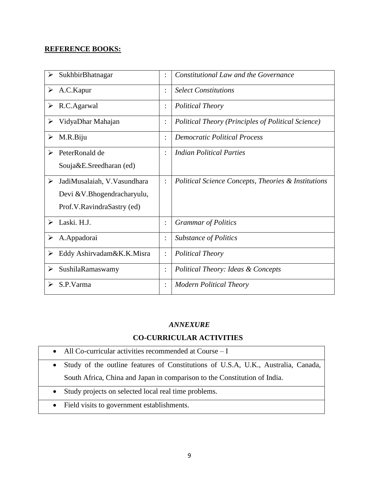| SukhbirBhatnagar<br>➤             |                | Constitutional Law and the Governance               |
|-----------------------------------|----------------|-----------------------------------------------------|
| A.C.Kapur<br>➤                    | $\ddot{\cdot}$ | <b>Select Constitutions</b>                         |
| R.C.Agarwal<br>➤                  | $\ddot{\cdot}$ | <b>Political Theory</b>                             |
| VidyaDhar Mahajan<br>➤            | $\ddot{\cdot}$ | Political Theory (Principles of Political Science)  |
| M.R.Biju<br>➤                     | ٠              | <b>Democratic Political Process</b>                 |
| PeterRonald de<br>➤               |                | Indian Political Parties                            |
| Souja&E.Sreedharan (ed)           |                |                                                     |
| JadiMusalaiah, V. Vasundhara<br>➤ | $\ddot{\cdot}$ | Political Science Concepts, Theories & Institutions |
| Devi & V.Bhogendracharyulu,       |                |                                                     |
| Prof.V.RavindraSastry (ed)        |                |                                                     |
| Laski. H.J.<br>➤                  |                | <b>Grammar of Politics</b>                          |
| A.Appadorai<br>➤                  | $\ddot{\cdot}$ | <b>Substance of Politics</b>                        |
| Eddy Ashirvadam&K.K.Misra         | $\ddot{\cdot}$ | <b>Political Theory</b>                             |
| SushilaRamaswamy<br>➤             | $\ddot{\cdot}$ | Political Theory: Ideas & Concepts                  |
| S.P.Varma                         | $\ddot{\cdot}$ | <b>Modern Political Theory</b>                      |

## *ANNEXURE*

## **CO-CURRICULAR ACTIVITIES**

- All Co-curricular activities recommended at Course I
- Study of the outline features of Constitutions of U.S.A, U.K., Australia, Canada, South Africa, China and Japan in comparison to the Constitution of India.
- Study projects on selected local real time problems.
- Field visits to government establishments.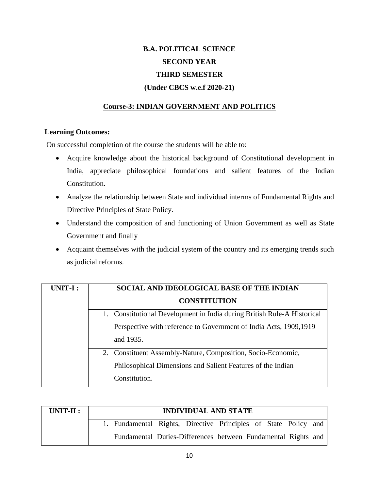# **B.A. POLITICAL SCIENCE SECOND YEAR THIRD SEMESTER (Under CBCS w.e.f 2020-21)**

## **Course-3: INDIAN GOVERNMENT AND POLITICS**

#### **Learning Outcomes:**

On successful completion of the course the students will be able to:

- Acquire knowledge about the historical background of Constitutional development in India, appreciate philosophical foundations and salient features of the Indian Constitution.
- Analyze the relationship between State and individual interms of Fundamental Rights and Directive Principles of State Policy.
- Understand the composition of and functioning of Union Government as well as State Government and finally
- Acquaint themselves with the judicial system of the country and its emerging trends such as judicial reforms.

| UNIT-I: | SOCIAL AND IDEOLOGICAL BASE OF THE INDIAN                               |  |  |
|---------|-------------------------------------------------------------------------|--|--|
|         | <b>CONSTITUTION</b>                                                     |  |  |
|         | 1. Constitutional Development in India during British Rule-A Historical |  |  |
|         | Perspective with reference to Government of India Acts, 1909, 1919      |  |  |
|         | and 1935.                                                               |  |  |
|         | 2. Constituent Assembly-Nature, Composition, Socio-Economic,            |  |  |
|         | Philosophical Dimensions and Salient Features of the Indian             |  |  |
|         | Constitution.                                                           |  |  |

| $UNIT-II:$ | <b>INDIVIDUAL AND STATE</b>                                     |
|------------|-----------------------------------------------------------------|
|            | 1. Fundamental Rights, Directive Principles of State Policy and |
|            | Fundamental Duties-Differences between Fundamental Rights and   |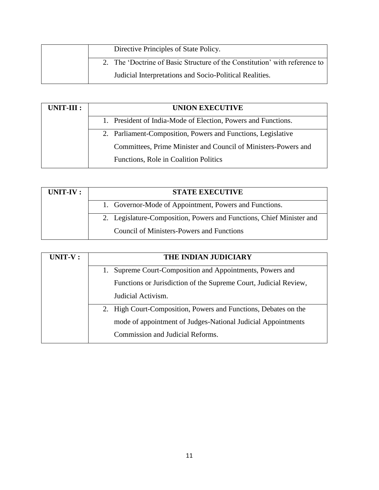| Directive Principles of State Policy.                                      |
|----------------------------------------------------------------------------|
| 2. The 'Doctrine of Basic Structure of the Constitution' with reference to |
| Judicial Interpretations and Socio-Political Realities.                    |

| UNIT-III : | <b>UNION EXECUTIVE</b>                                         |  |  |  |
|------------|----------------------------------------------------------------|--|--|--|
|            | 1. President of India-Mode of Election, Powers and Functions.  |  |  |  |
|            | 2. Parliament-Composition, Powers and Functions, Legislative   |  |  |  |
|            | Committees, Prime Minister and Council of Ministers-Powers and |  |  |  |
|            | Functions, Role in Coalition Politics                          |  |  |  |

| UNIT-IV : | <b>STATE EXECUTIVE</b>                                               |
|-----------|----------------------------------------------------------------------|
|           | 1. Governor-Mode of Appointment, Powers and Functions.               |
|           | 2. Legislature-Composition, Powers and Functions, Chief Minister and |
|           | <b>Council of Ministers-Powers and Functions</b>                     |

| UNIT-V: | THE INDIAN JUDICIARY                                             |  |  |
|---------|------------------------------------------------------------------|--|--|
|         | Supreme Court-Composition and Appointments, Powers and           |  |  |
|         | Functions or Jurisdiction of the Supreme Court, Judicial Review, |  |  |
|         | Judicial Activism.                                               |  |  |
|         | 2. High Court-Composition, Powers and Functions, Debates on the  |  |  |
|         | mode of appointment of Judges-National Judicial Appointments     |  |  |
|         | Commission and Judicial Reforms.                                 |  |  |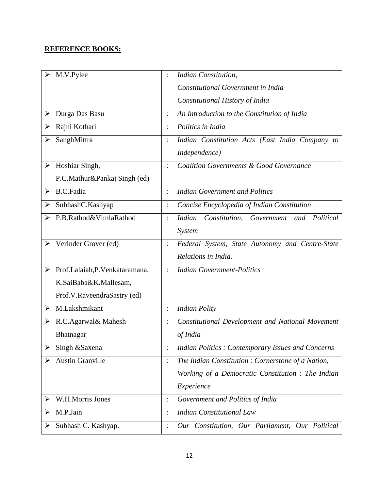| M.V.Pylee                            |                | <b>Indian Constitution,</b>                                      |
|--------------------------------------|----------------|------------------------------------------------------------------|
|                                      |                | Constitutional Government in India                               |
|                                      |                | Constitutional History of India                                  |
| Durga Das Basu<br>➤                  | $\ddot{\cdot}$ | An Introduction to the Constitution of India                     |
| Rajni Kothari                        |                | Politics in India                                                |
| SanghMittra                          | $\ddot{\cdot}$ | Indian Constitution Acts (East India Company to                  |
|                                      |                | Independence)                                                    |
| $\triangleright$ Hoshiar Singh,      | $\ddot{\cdot}$ | <b>Coalition Governments &amp; Good Governance</b>               |
| P.C.Mathur&Pankaj Singh (ed)         |                |                                                                  |
| <b>B.C.Fadia</b><br>➤                | $\ddot{\cdot}$ | <b>Indian Government and Politics</b>                            |
| SubhashC.Kashyap                     | $\ddot{\cdot}$ | Concise Encyclopedia of Indian Constitution                      |
| P.B.Rathod&VimlaRathod               | $\ddot{\cdot}$ | <b>Indian</b><br>Constitution,<br>Government<br>and<br>Political |
|                                      |                | System                                                           |
| Verinder Grover (ed)                 | $\ddot{\cdot}$ | Federal System, State Autonomy and Centre-State                  |
|                                      |                | Relations in India.                                              |
| Prof.Lalaiah, P. Venkataramana,<br>➤ | $\ddot{\cdot}$ | <b>Indian Government-Politics</b>                                |
| K.SaiBaba&K.Mallesam,                |                |                                                                  |
| Prof.V.RaveendraSastry (ed)          |                |                                                                  |
| M.Lakshmikant<br>≻                   | $\vdots$       | <b>Indian Polity</b>                                             |
| R.C.Agarwal& Mahesh                  | $\ddot{\cdot}$ | <b>Constitutional Development and National Movement</b>          |
| Bhatnagar                            |                | of India                                                         |
| Singh & Saxena<br>➤                  |                | Indian Politics: Contemporary Issues and Concerns                |
| <b>Austin Granville</b>              | $\ddot{\cdot}$ | The Indian Constitution: Cornerstone of a Nation,                |
|                                      |                | Working of a Democratic Constitution : The Indian                |
|                                      |                | Experience                                                       |
| W.H.Morris Jones<br>➤                | $\ddot{\cdot}$ | Government and Politics of India                                 |
| M.P.Jain                             |                | <b>Indian Constitutional Law</b>                                 |
| Subhash C. Kashyap.                  | $\ddot{\cdot}$ | Our Constitution, Our Parliament, Our Political                  |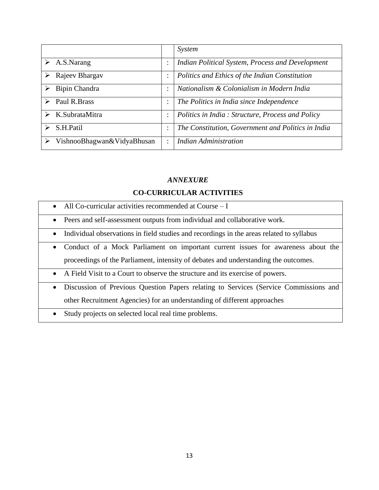|                              |                | System                                             |
|------------------------------|----------------|----------------------------------------------------|
| $\triangleright$ A.S. Narang | ٠<br>$\bullet$ | Indian Political System, Process and Development   |
| Rajeev Bhargav               | ٠              | Politics and Ethics of the Indian Constitution     |
| Bipin Chandra                | ٠              | Nationalism & Colonialism in Modern India          |
| Paul R.Brass                 | $\ddot{\cdot}$ | The Politics in India since Independence           |
| K.SubrataMitra<br>➤          | $\ddot{\cdot}$ | Politics in India: Structure, Process and Policy   |
| S.H.Patil                    | ٠              | The Constitution, Government and Politics in India |
| VishnooBhagwan&VidyaBhusan   | ٠              | <b>Indian Administration</b>                       |

#### **CO-CURRICULAR ACTIVITIES**

- All Co-curricular activities recommended at Course I
- Peers and self-assessment outputs from individual and collaborative work.
- Individual observations in field studies and recordings in the areas related to syllabus
- Conduct of a Mock Parliament on important current issues for awareness about the proceedings of the Parliament, intensity of debates and understanding the outcomes.
- A Field Visit to a Court to observe the structure and its exercise of powers.
- Discussion of Previous Question Papers relating to Services (Service Commissions and other Recruitment Agencies) for an understanding of different approaches
- Study projects on selected local real time problems.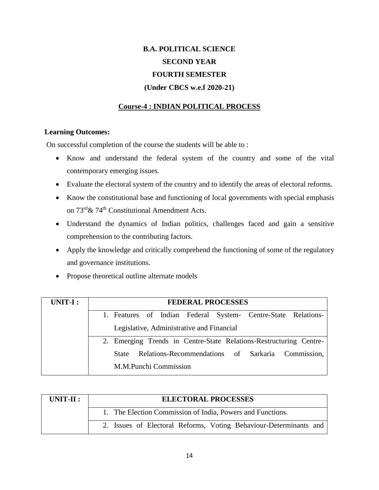# **B.A. POLITICAL SCIENCE SECOND YEAR FOURTH SEMESTER (Under CBCS w.e.f 2020-21)**

## **Course-4 : INDIAN POLITICAL PROCESS**

#### **Learning Outcomes:**

On successful completion of the course the students will be able to :

- Know and understand the federal system of the country and some of the vital contemporary emerging issues.
- Evaluate the electoral system of the country and to identify the areas of electoral reforms.
- Know the constitutional base and functioning of local governments with special emphasis on 73rd& 74th Constitutional Amendment Acts.
- Understand the dynamics of Indian politics, challenges faced and gain a sensitive comprehension to the contributing factors.
- Apply the knowledge and critically comprehend the functioning of some of the regulatory and governance institutions.
- Propose theoretical outline alternate models

| UNIT-I: | <b>FEDERAL PROCESSES</b>                                           |  |  |  |  |  |
|---------|--------------------------------------------------------------------|--|--|--|--|--|
|         | 1. Features of Indian Federal System- Centre-State Relations-      |  |  |  |  |  |
|         | Legislative, Administrative and Financial                          |  |  |  |  |  |
|         | 2. Emerging Trends in Centre-State Relations-Restructuring Centre- |  |  |  |  |  |
|         | Relations-Recommendations of Sarkaria Commission,<br><b>State</b>  |  |  |  |  |  |
|         | M.M.Punchi Commission                                              |  |  |  |  |  |

| $UNIT-II:$ | <b>ELECTORAL PROCESSES</b>                                        |
|------------|-------------------------------------------------------------------|
|            | 1. The Election Commission of India, Powers and Functions.        |
|            | 2. Issues of Electoral Reforms, Voting Behaviour-Determinants and |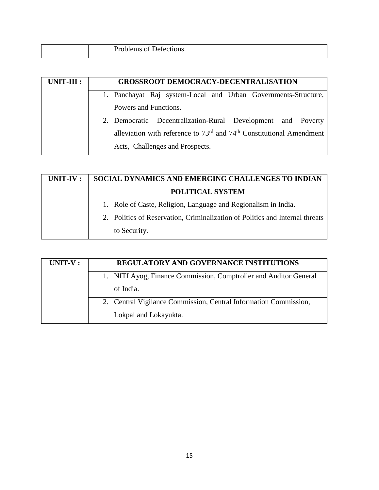| Problems of Defections. |
|-------------------------|
|                         |

| UNIT-III : | <b>GROSSROOT DEMOCRACY-DECENTRALISATION</b>                              |  |  |  |  |
|------------|--------------------------------------------------------------------------|--|--|--|--|
|            | 1. Panchayat Raj system-Local and Urban Governments-Structure,           |  |  |  |  |
|            | Powers and Functions.                                                    |  |  |  |  |
|            | 2. Democratic Decentralization-Rural Development and Poverty             |  |  |  |  |
|            | alleviation with reference to $73rd$ and $74th$ Constitutional Amendment |  |  |  |  |
|            | Acts, Challenges and Prospects.                                          |  |  |  |  |

| UNIT-IV : | SOCIAL DYNAMICS AND EMERGING CHALLENGES TO INDIAN                            |  |  |  |
|-----------|------------------------------------------------------------------------------|--|--|--|
|           | <b>POLITICAL SYSTEM</b>                                                      |  |  |  |
|           | 1. Role of Caste, Religion, Language and Regionalism in India.               |  |  |  |
|           | 2. Politics of Reservation, Criminalization of Politics and Internal threats |  |  |  |
|           | to Security.                                                                 |  |  |  |

| $UNIT-V:$ | <b>REGULATORY AND GOVERNANCE INSTITUTIONS</b>                     |  |  |
|-----------|-------------------------------------------------------------------|--|--|
|           | 1. NITI Ayog, Finance Commission, Comptroller and Auditor General |  |  |
|           | of India.                                                         |  |  |
|           | 2. Central Vigilance Commission, Central Information Commission,  |  |  |
|           | Lokpal and Lokayukta.                                             |  |  |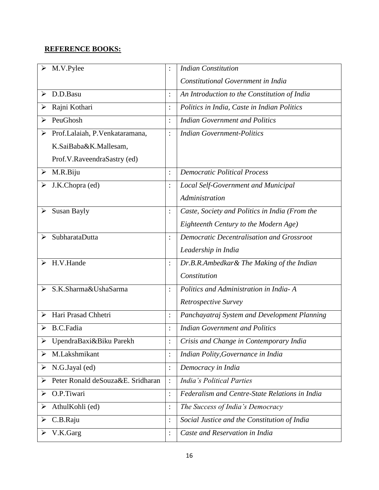| M.V.Pylee                              |                | <b>Indian Constitution</b>                       |
|----------------------------------------|----------------|--------------------------------------------------|
|                                        |                | Constitutional Government in India               |
| D.D.Basu                               |                | An Introduction to the Constitution of India     |
| Rajni Kothari                          | $\ddot{\cdot}$ | Politics in India, Caste in Indian Politics      |
| PeuGhosh                               | $\ddot{\cdot}$ | <b>Indian Government and Politics</b>            |
| Prof.Lalaiah, P.Venkataramana,         | $\ddot{\cdot}$ | <b>Indian Government-Politics</b>                |
| K.SaiBaba&K.Mallesam,                  |                |                                                  |
| Prof.V.RaveendraSastry (ed)            |                |                                                  |
| M.R.Biju<br>➤                          | $\ddot{\cdot}$ | <b>Democratic Political Process</b>              |
| J.K.Chopra (ed)                        | $\vdots$       | <b>Local Self-Government and Municipal</b>       |
|                                        |                | Administration                                   |
| Susan Bayly<br>➤                       | $\ddot{\cdot}$ | Caste, Society and Politics in India (From the   |
|                                        |                | Eighteenth Century to the Modern Age)            |
| SubharataDutta                         | $\ddot{\cdot}$ | <b>Democratic Decentralisation and Grossroot</b> |
|                                        |                | Leadership in India                              |
| H.V.Hande<br>↘                         | $\vdots$       | Dr.B.R.Ambedkar& The Making of the Indian        |
|                                        |                | Constitution                                     |
| S.K.Sharma&UshaSarma                   | $\ddot{\cdot}$ | Politics and Administration in India-A           |
|                                        |                | Retrospective Survey                             |
| Hari Prasad Chhetri                    | $\vdots$       | Panchayatraj System and Development Planning     |
| <b>B.C.Fadia</b>                       |                | <b>Indian Government and Politics</b>            |
| UpendraBaxi&Biku Parekh<br>➤           | :              | Crisis and Change in Contemporary India          |
| M.Lakshmikant<br>➤                     | $\vdots$       | Indian Polity, Governance in India               |
| N.G.Jayal (ed)<br>➤                    | :              | Democracy in India                               |
| Peter Ronald deSouza&E. Sridharan<br>➤ |                | <b>India's Political Parties</b>                 |
| O.P.Tiwari<br>➤                        | $\colon$       | Federalism and Centre-State Relations in India   |
| AthulKohli (ed)<br>➤                   | $\colon$       | The Success of India's Democracy                 |
| C.B.Raju<br>➤                          | :              | Social Justice and the Constitution of India     |
| V.K.Garg                               | $\ddot{\cdot}$ | Caste and Reservation in India                   |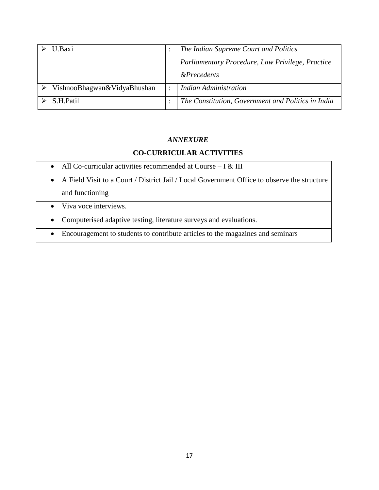| U Baxi                      |           | The Indian Supreme Court and Politics                                      |
|-----------------------------|-----------|----------------------------------------------------------------------------|
|                             |           | Parliamentary Procedure, Law Privilege, Practice<br><i>&amp;Precedents</i> |
| VishnooBhagwan&VidyaBhushan | $\bullet$ | <b>Indian Administration</b>                                               |
| S.H.Patil                   |           | The Constitution, Government and Politics in India                         |

## **CO-CURRICULAR ACTIVITIES**

- All Co-curricular activities recommended at Course I  $\&$  III
- A Field Visit to a Court / District Jail / Local Government Office to observe the structure and functioning
- Viva voce interviews.
- Computerised adaptive testing, literature surveys and evaluations.
- Encouragement to students to contribute articles to the magazines and seminars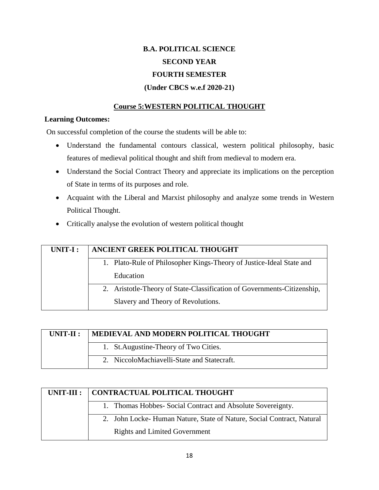# **B.A. POLITICAL SCIENCE SECOND YEAR FOURTH SEMESTER (Under CBCS w.e.f 2020-21)**

## **Course 5:WESTERN POLITICAL THOUGHT**

#### **Learning Outcomes:**

On successful completion of the course the students will be able to:

- Understand the fundamental contours classical, western political philosophy, basic features of medieval political thought and shift from medieval to modern era.
- Understand the Social Contract Theory and appreciate its implications on the perception of State in terms of its purposes and role.
- Acquaint with the Liberal and Marxist philosophy and analyze some trends in Western Political Thought.
- Critically analyse the evolution of western political thought

| UNIT-I : | ANCIENT GREEK POLITICAL THOUGHT                                         |  |  |  |  |
|----------|-------------------------------------------------------------------------|--|--|--|--|
|          | 1. Plato-Rule of Philosopher Kings-Theory of Justice-Ideal State and    |  |  |  |  |
|          | Education                                                               |  |  |  |  |
|          | 2. Aristotle-Theory of State-Classification of Governments-Citizenship, |  |  |  |  |
|          | Slavery and Theory of Revolutions.                                      |  |  |  |  |

| $UNIT-II:$ | MEDIEVAL AND MODERN POLITICAL THOUGHT       |  |  |  |
|------------|---------------------------------------------|--|--|--|
|            | 1. St. Augustine-Theory of Two Cities.      |  |  |  |
|            | 2. NiccoloMachiavelli-State and Statecraft. |  |  |  |

| $UNIT-III :$ | CONTRACTUAL POLITICAL THOUGHT                                         |  |  |  |
|--------------|-----------------------------------------------------------------------|--|--|--|
|              | 1. Thomas Hobbes-Social Contract and Absolute Sovereignty.            |  |  |  |
|              | 2. John Locke-Human Nature, State of Nature, Social Contract, Natural |  |  |  |
|              | <b>Rights and Limited Government</b>                                  |  |  |  |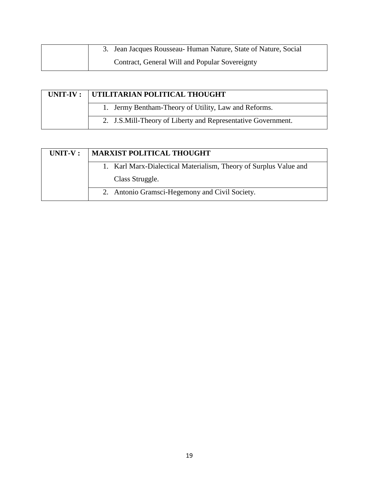| 3. Jean Jacques Rousseau - Human Nature, State of Nature, Social |
|------------------------------------------------------------------|
| Contract, General Will and Popular Sovereignty                   |

| UNIT-IV: UTILITARIAN POLITICAL THOUGHT                       |  |  |  |
|--------------------------------------------------------------|--|--|--|
| 1. Jermy Bentham-Theory of Utility, Law and Reforms.         |  |  |  |
| 2. J.S.Mill-Theory of Liberty and Representative Government. |  |  |  |

| $UNIT-V:$ | <b>MARXIST POLITICAL THOUGHT</b>                                  |  |  |  |
|-----------|-------------------------------------------------------------------|--|--|--|
|           | 1. Karl Marx-Dialectical Materialism, Theory of Surplus Value and |  |  |  |
|           | Class Struggle.                                                   |  |  |  |
|           | 2. Antonio Gramsci-Hegemony and Civil Society.                    |  |  |  |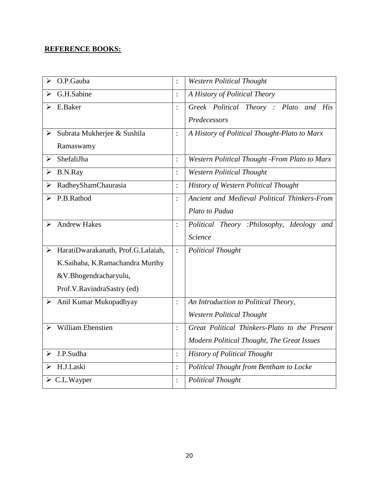| O.P.Gauba<br>$\blacktriangleright$           | $\ddot{\cdot}$ | <b>Western Political Thought</b>              |
|----------------------------------------------|----------------|-----------------------------------------------|
| G.H.Sabine                                   | $\ddot{\cdot}$ | A History of Political Theory                 |
| E.Baker<br>⋗                                 | $\ddot{\cdot}$ | Greek Political Theory : Plato and His        |
|                                              |                | Predecessors                                  |
| $\triangleright$ Subrata Mukherjee & Sushila | $\ddot{\cdot}$ | A History of Political Thought-Plato to Marx  |
| Ramaswamy                                    |                |                                               |
| ShefaliJha<br>⋗                              | $\ddot{\cdot}$ | Western Political Thought -From Plato to Marx |
| B.N.Ray<br>➤                                 | $\vdots$       | <b>Western Political Thought</b>              |
| RadheyShamChaurasia<br>➤                     | $\ddot{\cdot}$ | <b>History of Western Political Thought</b>   |
| P.B.Rathod<br>➤                              | :              | Ancient and Medieval Political Thinkers-From  |
|                                              |                | Plato to Padua                                |
| <b>Andrew Hakes</b><br>➤                     | $\ddot{\cdot}$ | Political Theory :Philosophy, Ideology and    |
|                                              |                | Science                                       |
| > HaratiDwarakanath, Prof.G.Lalaiah,         | $\ddot{\cdot}$ | <b>Political Thought</b>                      |
| K.Saibaba, K.Ramachandra Murthy              |                |                                               |
| &V.Bhogendracharyulu,                        |                |                                               |
| Prof.V.RavindraSastry (ed)                   |                |                                               |
| $\triangleright$ Anil Kumar Mukopadhyay      | $\ddot{\cdot}$ | An Introduction to Political Theory,          |
|                                              |                | <b>Western Political Thought</b>              |
| William Ebenstien<br>$\blacktriangleright$   | $\ddot{\cdot}$ | Great Political Thinkers-Plato to the Present |
|                                              |                | Modern Political Thought, The Great Issues    |
| J.P.Sudha<br>$\blacktriangleright$           | $\ddot{\cdot}$ | <b>History of Political Thought</b>           |
| H.J.Laski                                    | $\vdots$       | Political Thought from Bentham to Locke       |
| $\triangleright$ C.L.Wayper                  | $\ddot{\cdot}$ | <b>Political Thought</b>                      |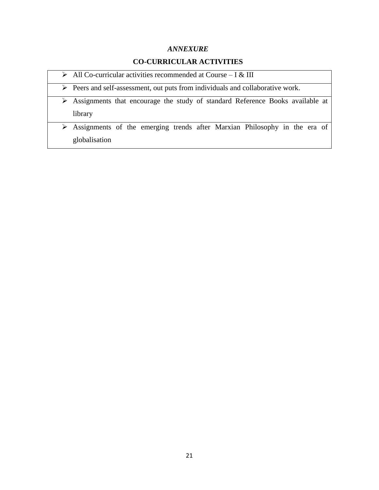## **CO-CURRICULAR ACTIVITIES**

- $\triangleright$  All Co-curricular activities recommended at Course I & III
- Peers and self-assessment, out puts from individuals and collaborative work.
- Assignments that encourage the study of standard Reference Books available at library

 Assignments of the emerging trends after Marxian Philosophy in the era of globalisation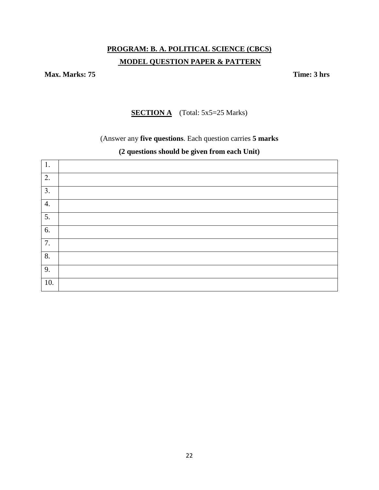## **PROGRAM: B. A. POLITICAL SCIENCE (CBCS) MODEL QUESTION PAPER & PATTERN**

**Max. Marks: 75 Time: 3 hrs** 

**SECTION A** (Total: 5x5=25 Marks)

(Answer any **five questions**. Each question carries **5 marks** 

## **(2 questions should be given from each Unit)**

| 1.               |  |
|------------------|--|
| 2.               |  |
| $\overline{3}$ . |  |
| 4.               |  |
| 5.               |  |
| 6.               |  |
| 7.               |  |
| 8.               |  |
| 9.               |  |
| 10.              |  |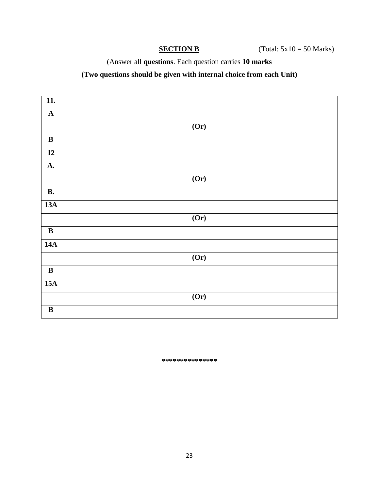(Answer all **questions**. Each question carries **10 marks**

## **(Two questions should be given with internal choice from each Unit)**

| $\overline{11}$ .       |                   |
|-------------------------|-------------------|
| $\mathbf A$             |                   |
|                         | (0r)              |
| $\, {\bf B}$            |                   |
| $\overline{12}$         |                   |
| <b>A.</b>               |                   |
|                         | (Or)              |
| $\overline{B}$ .        |                   |
| 13A                     |                   |
|                         | (0r)              |
| $\, {\bf B}$            |                   |
| 14A                     |                   |
|                         | $\overline{(0r)}$ |
| $\overline{\mathbf{B}}$ |                   |
| 15A                     |                   |
|                         | $\overline{(Or)}$ |
| $\, {\bf B}$            |                   |

**\*\*\*\*\*\*\*\*\*\*\*\*\*\*\***